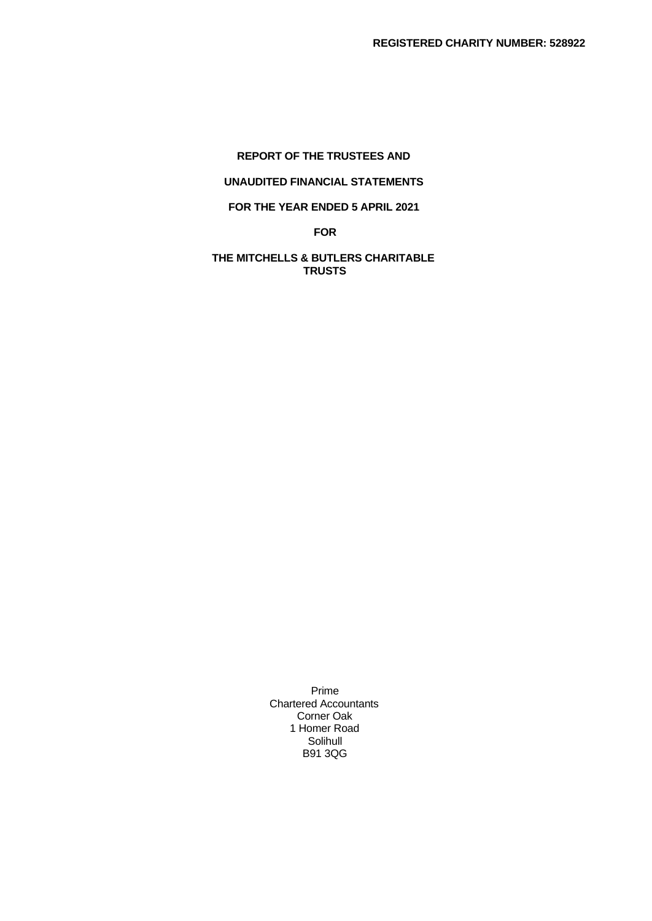# **REPORT OF THE TRUSTEES AND UNAUDITED FINANCIAL STATEMENTS FOR THE YEAR ENDED 5 APRIL 2021**

**FOR**

# **THE MITCHELLS & BUTLERS CHARITABLE TRUSTS**

Prime Chartered Accountants Corner Oak 1 Homer Road Solihull B91 3QG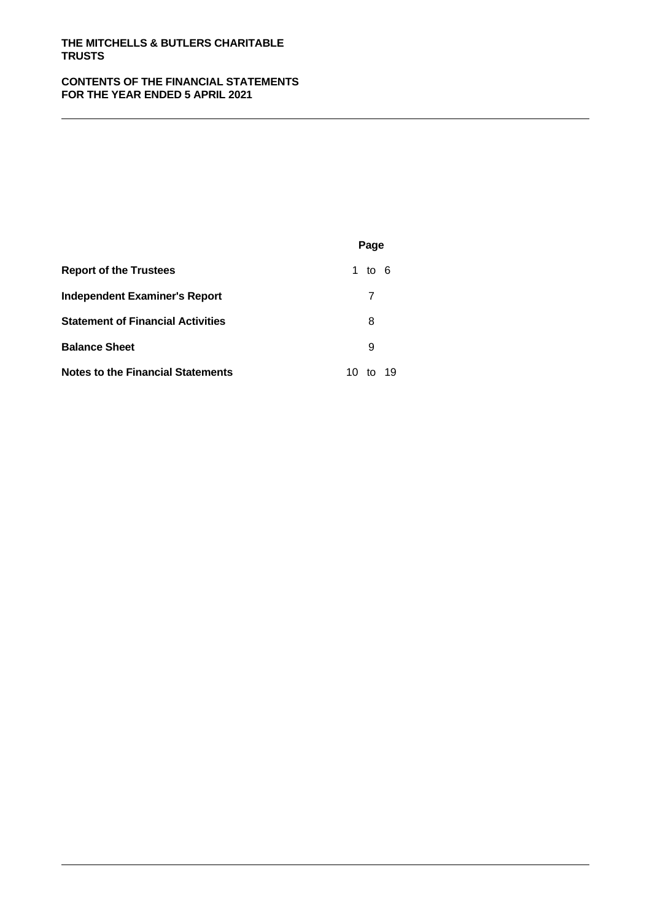#### **CONTENTS OF THE FINANCIAL STATEMENTS FOR THE YEAR ENDED 5 APRIL 2021**

|                                          | Page           |  |
|------------------------------------------|----------------|--|
| <b>Report of the Trustees</b>            | 1 to $6$       |  |
| <b>Independent Examiner's Report</b>     |                |  |
| <b>Statement of Financial Activities</b> | 8              |  |
| <b>Balance Sheet</b>                     | 9              |  |
| <b>Notes to the Financial Statements</b> | 19<br>10<br>to |  |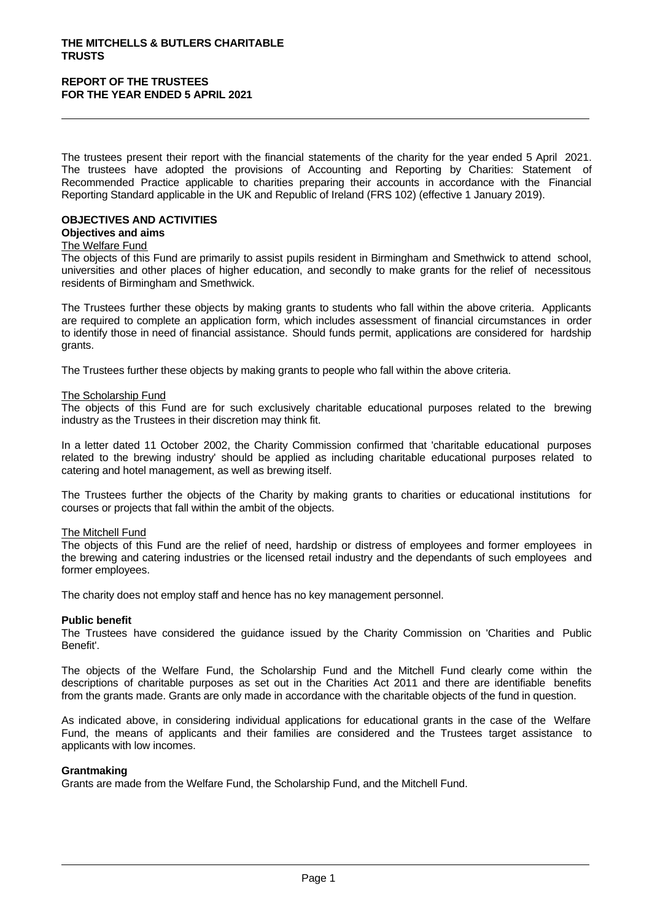The trustees present their report with the financial statements of the charity for the year ended 5 April 2021. The trustees have adopted the provisions of Accounting and Reporting by Charities: Statement of Recommended Practice applicable to charities preparing their accounts in accordance with the Financial Reporting Standard applicable in the UK and Republic of Ireland (FRS 102) (effective 1 January 2019).

# **OBJECTIVES AND ACTIVITIES**

# **Objectives and aims**

#### The Welfare Fund

The objects of this Fund are primarily to assist pupils resident in Birmingham and Smethwick to attend school, universities and other places of higher education, and secondly to make grants for the relief of necessitous residents of Birmingham and Smethwick.

The Trustees further these objects by making grants to students who fall within the above criteria. Applicants are required to complete an application form, which includes assessment of financial circumstances in order to identify those in need of financial assistance. Should funds permit, applications are considered for hardship grants.

The Trustees further these objects by making grants to people who fall within the above criteria.

#### The Scholarship Fund

The objects of this Fund are for such exclusively charitable educational purposes related to the brewing industry as the Trustees in their discretion may think fit.

In a letter dated 11 October 2002, the Charity Commission confirmed that 'charitable educational purposes related to the brewing industry' should be applied as including charitable educational purposes related to catering and hotel management, as well as brewing itself.

The Trustees further the objects of the Charity by making grants to charities or educational institutions for courses or projects that fall within the ambit of the objects.

#### The Mitchell Fund

The objects of this Fund are the relief of need, hardship or distress of employees and former employees in the brewing and catering industries or the licensed retail industry and the dependants of such employees and former employees.

The charity does not employ staff and hence has no key management personnel.

#### **Public benefit**

The Trustees have considered the guidance issued by the Charity Commission on 'Charities and Public Benefit'.

The objects of the Welfare Fund, the Scholarship Fund and the Mitchell Fund clearly come within the descriptions of charitable purposes as set out in the Charities Act 2011 and there are identifiable benefits from the grants made. Grants are only made in accordance with the charitable objects of the fund in question.

As indicated above, in considering individual applications for educational grants in the case of the Welfare Fund, the means of applicants and their families are considered and the Trustees target assistance to applicants with low incomes.

#### **Grantmaking**

Grants are made from the Welfare Fund, the Scholarship Fund, and the Mitchell Fund.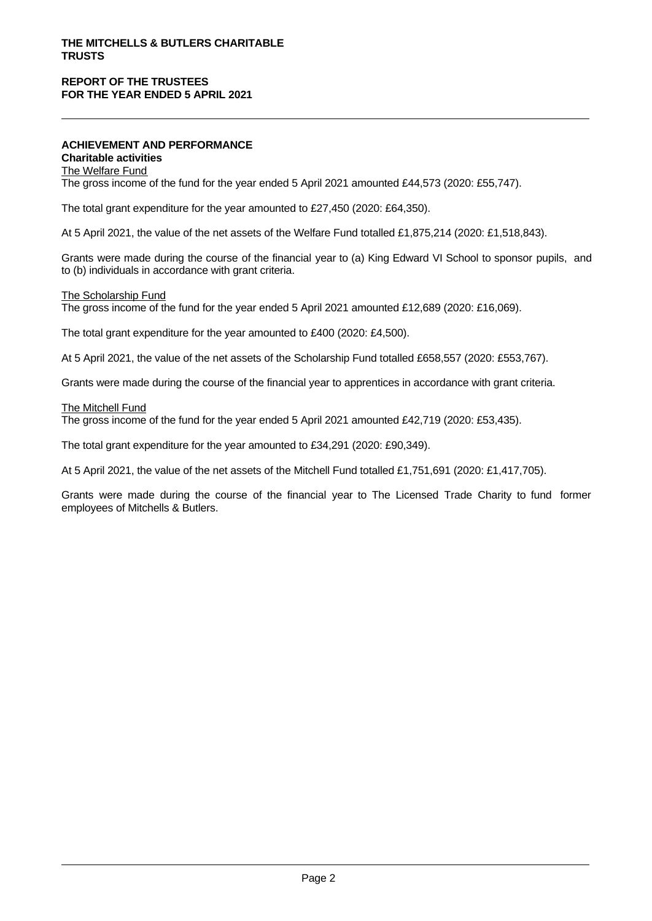#### **ACHIEVEMENT AND PERFORMANCE Charitable activities**

The Welfare Fund The gross income of the fund for the year ended 5 April 2021 amounted £44,573 (2020: £55,747).

The total grant expenditure for the year amounted to £27,450 (2020: £64,350).

At 5 April 2021, the value of the net assets of the Welfare Fund totalled £1,875,214 (2020: £1,518,843).

Grants were made during the course of the financial year to (a) King Edward VI School to sponsor pupils, and to (b) individuals in accordance with grant criteria.

#### The Scholarship Fund The gross income of the fund for the year ended 5 April 2021 amounted £12,689 (2020: £16,069).

The total grant expenditure for the year amounted to £400 (2020: £4,500).

At 5 April 2021, the value of the net assets of the Scholarship Fund totalled £658,557 (2020: £553,767).

Grants were made during the course of the financial year to apprentices in accordance with grant criteria.

#### The Mitchell Fund

The gross income of the fund for the year ended 5 April 2021 amounted £42,719 (2020: £53,435).

The total grant expenditure for the year amounted to £34,291 (2020: £90,349).

At 5 April 2021, the value of the net assets of the Mitchell Fund totalled £1,751,691 (2020: £1,417,705).

Grants were made during the course of the financial year to The Licensed Trade Charity to fund former employees of Mitchells & Butlers.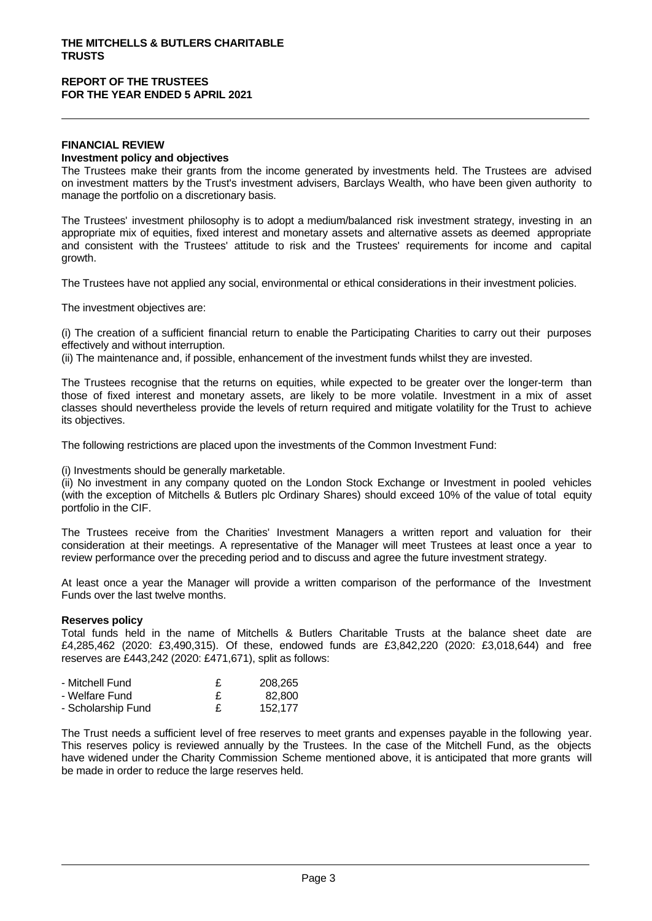#### **FINANCIAL REVIEW Investment policy and objectives**

The Trustees make their grants from the income generated by investments held. The Trustees are advised on investment matters by the Trust's investment advisers, Barclays Wealth, who have been given authority to manage the portfolio on a discretionary basis.

The Trustees' investment philosophy is to adopt a medium/balanced risk investment strategy, investing in an appropriate mix of equities, fixed interest and monetary assets and alternative assets as deemed appropriate and consistent with the Trustees' attitude to risk and the Trustees' requirements for income and capital growth.

The Trustees have not applied any social, environmental or ethical considerations in their investment policies.

The investment objectives are:

(i) The creation of a sufficient financial return to enable the Participating Charities to carry out their purposes effectively and without interruption.

(ii) The maintenance and, if possible, enhancement of the investment funds whilst they are invested.

The Trustees recognise that the returns on equities, while expected to be greater over the longer-term than those of fixed interest and monetary assets, are likely to be more volatile. Investment in a mix of asset classes should nevertheless provide the levels of return required and mitigate volatility for the Trust to achieve its objectives.

The following restrictions are placed upon the investments of the Common Investment Fund:

(i) Investments should be generally marketable.

(ii) No investment in any company quoted on the London Stock Exchange or Investment in pooled vehicles (with the exception of Mitchells & Butlers plc Ordinary Shares) should exceed 10% of the value of total equity portfolio in the CIF.

The Trustees receive from the Charities' Investment Managers a written report and valuation for their consideration at their meetings. A representative of the Manager will meet Trustees at least once a year to review performance over the preceding period and to discuss and agree the future investment strategy.

At least once a year the Manager will provide a written comparison of the performance of the Investment Funds over the last twelve months.

#### **Reserves policy**

Total funds held in the name of Mitchells & Butlers Charitable Trusts at the balance sheet date are £4,285,462 (2020: £3,490,315). Of these, endowed funds are £3,842,220 (2020: £3,018,644) and free reserves are £443,242 (2020: £471,671), split as follows:

| - Mitchell Fund    | 208.265 |  |
|--------------------|---------|--|
| - Welfare Fund     | 82.800  |  |
| - Scholarship Fund | 152.177 |  |

The Trust needs a sufficient level of free reserves to meet grants and expenses payable in the following year. This reserves policy is reviewed annually by the Trustees. In the case of the Mitchell Fund, as the objects have widened under the Charity Commission Scheme mentioned above, it is anticipated that more grants will be made in order to reduce the large reserves held.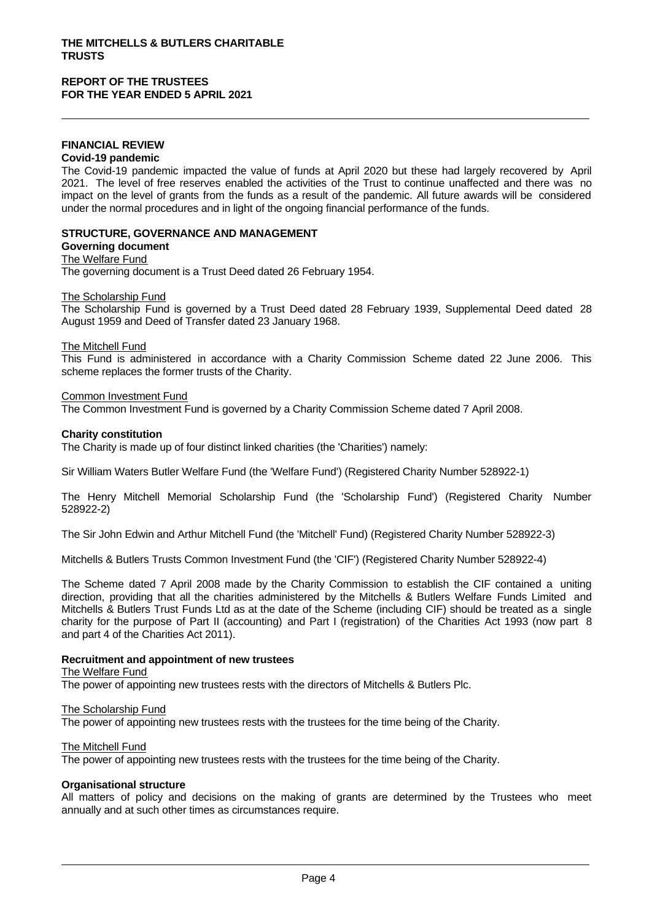#### **FINANCIAL REVIEW Covid-19 pandemic**

The Covid-19 pandemic impacted the value of funds at April 2020 but these had largely recovered by April 2021. The level of free reserves enabled the activities of the Trust to continue unaffected and there was no impact on the level of grants from the funds as a result of the pandemic. All future awards will be considered under the normal procedures and in light of the ongoing financial performance of the funds.

# **STRUCTURE, GOVERNANCE AND MANAGEMENT**

#### **Governing document** The Welfare Fund

The governing document is a Trust Deed dated 26 February 1954.

The Scholarship Fund

The Scholarship Fund is governed by a Trust Deed dated 28 February 1939, Supplemental Deed dated 28 August 1959 and Deed of Transfer dated 23 January 1968.

#### The Mitchell Fund

This Fund is administered in accordance with a Charity Commission Scheme dated 22 June 2006. This scheme replaces the former trusts of the Charity.

#### Common Investment Fund

The Common Investment Fund is governed by a Charity Commission Scheme dated 7 April 2008.

#### **Charity constitution**

The Charity is made up of four distinct linked charities (the 'Charities') namely:

Sir William Waters Butler Welfare Fund (the 'Welfare Fund') (Registered Charity Number 528922-1)

The Henry Mitchell Memorial Scholarship Fund (the 'Scholarship Fund') (Registered Charity Number 528922-2)

The Sir John Edwin and Arthur Mitchell Fund (the 'Mitchell' Fund) (Registered Charity Number 528922-3)

Mitchells & Butlers Trusts Common Investment Fund (the 'CIF') (Registered Charity Number 528922-4)

The Scheme dated 7 April 2008 made by the Charity Commission to establish the CIF contained a uniting direction, providing that all the charities administered by the Mitchells & Butlers Welfare Funds Limited and Mitchells & Butlers Trust Funds Ltd as at the date of the Scheme (including CIF) should be treated as a single charity for the purpose of Part II (accounting) and Part I (registration) of the Charities Act 1993 (now part 8 and part 4 of the Charities Act 2011).

# **Recruitment and appointment of new trustees**

#### The Welfare Fund

The power of appointing new trustees rests with the directors of Mitchells & Butlers Plc.

#### The Scholarship Fund

The power of appointing new trustees rests with the trustees for the time being of the Charity.

The Mitchell Fund

The power of appointing new trustees rests with the trustees for the time being of the Charity.

#### **Organisational structure**

All matters of policy and decisions on the making of grants are determined by the Trustees who meet annually and at such other times as circumstances require.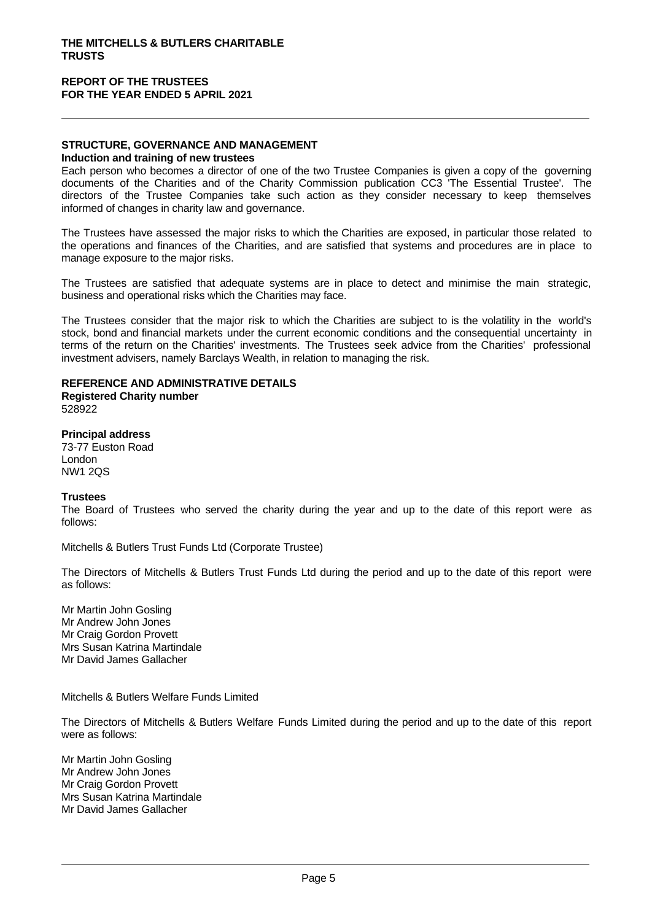#### **STRUCTURE, GOVERNANCE AND MANAGEMENT Induction and training of new trustees**

Each person who becomes a director of one of the two Trustee Companies is given a copy of the governing documents of the Charities and of the Charity Commission publication CC3 'The Essential Trustee'. The directors of the Trustee Companies take such action as they consider necessary to keep themselves informed of changes in charity law and governance.

The Trustees have assessed the major risks to which the Charities are exposed, in particular those related to the operations and finances of the Charities, and are satisfied that systems and procedures are in place to manage exposure to the major risks.

The Trustees are satisfied that adequate systems are in place to detect and minimise the main strategic, business and operational risks which the Charities may face.

The Trustees consider that the major risk to which the Charities are subject to is the volatility in the world's stock, bond and financial markets under the current economic conditions and the consequential uncertainty in terms of the return on the Charities' investments. The Trustees seek advice from the Charities' professional investment advisers, namely Barclays Wealth, in relation to managing the risk.

# **REFERENCE AND ADMINISTRATIVE DETAILS**

**Registered Charity number** 528922

**Principal address** 73-77 Euston Road London NW1 2QS

# **Trustees**

The Board of Trustees who served the charity during the year and up to the date of this report were as follows:

Mitchells & Butlers Trust Funds Ltd (Corporate Trustee)

The Directors of Mitchells & Butlers Trust Funds Ltd during the period and up to the date of this report were as follows:

Mr Martin John Gosling Mr Andrew John Jones Mr Craig Gordon Provett Mrs Susan Katrina Martindale Mr David James Gallacher

Mitchells & Butlers Welfare Funds Limited

The Directors of Mitchells & Butlers Welfare Funds Limited during the period and up to the date of this report were as follows:

Mr Martin John Gosling Mr Andrew John Jones Mr Craig Gordon Provett Mrs Susan Katrina Martindale Mr David James Gallacher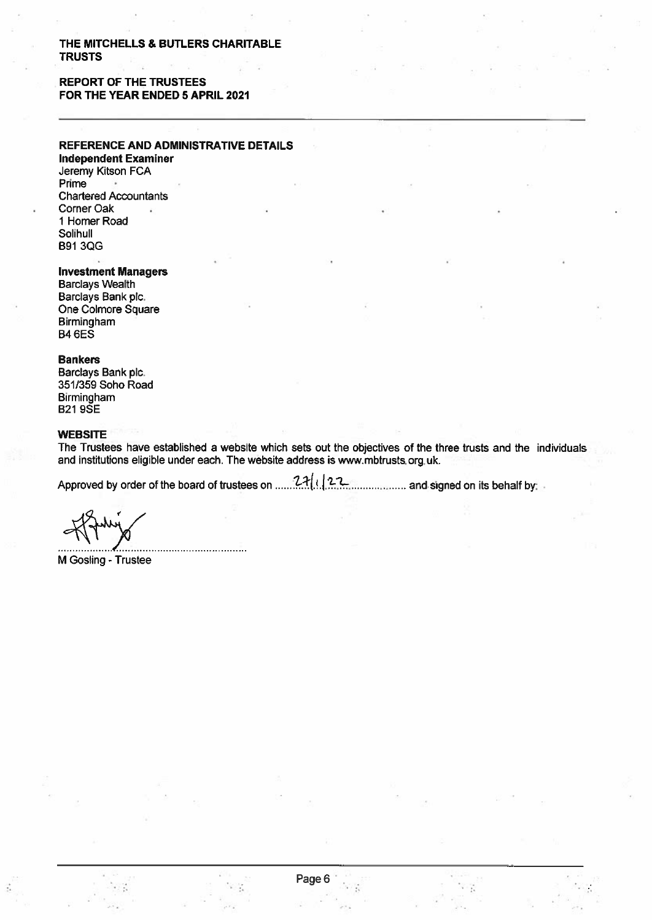# **REPORT OF THE TRUSTEES** FOR THE YEAR ENDED 5 APRIL 2021

# REFERENCE AND ADMINISTRATIVE DETAILS

**Independent Examiner** Jeremy Kitson FCA Prime **Chartered Accountants** Corner Oak 1 Homer Road Solihull **B91 3QG** 

#### **Investment Managers**

**Barclays Wealth** Barclays Bank plc. One Colmore Square Birmingham **B4 6ES** 

#### **Bankers**

Barclays Bank plc. 351/359 Soho Road Birmingham **B219SE** 

#### **WEBSITE**

The Trustees have established a website which sets out the objectives of the three trusts and the individuals and institutions eligible under each. The website address is www.mbtrusts.org.uk.

Approved by order of the board of trustees on  $27(1)$  $22$ ................ and signed on its behalf by:

M Gosling - Trustee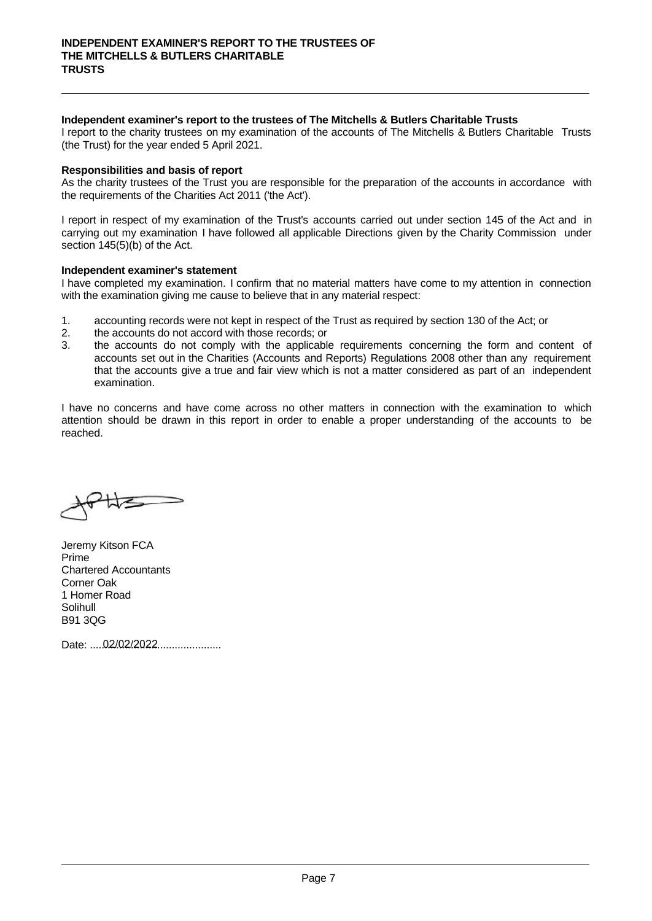#### **Independent examiner's report to the trustees of The Mitchells & Butlers Charitable Trusts**

INDEPENDENT EXAMINER'S REPORT TO THE TRUSTEES OF<br>THE MITCHELLS & BUTLERS CHARITABLE<br>INTUSTS<br>Interport to the charity trustees on my examination of the accounts of The Mitchells & Butlers Charitable Trusts<br>(the Trust) for t (the Trust) for the year ended 5 April 2021. INDEPENDENT EXAMINER'S REPORT TO THE TRUSTEES OF<br>THE MITCHELLS & BUTLERS CHARITABLE<br>TRUSTS<br>Independent examiner's report to the trustees of The Mitchells & Butlers Charitable Trusts<br>I report to the charity trustees on my e

**Responsibilities and basis of report**<br>As the charity trustees of the Trust you are responsible for the preparation of the accounts in accordance with the requirements of the Charities Act 2011 ('the Act').

IRE MITCHELLS & BUTLEKS CHARTIABLE<br>
IROSTS<br>
Independent examiner's report to the trustees of The Mitchells & Butlers Charitable Trusts<br>
I report to the charity trustees on my examination of the accounts of The Mitchells & **Independent examiner's report to the trustees of The Mitchells & Butlers Charitable Trusts<br>I report to the charity trustees on my examination of the accounts of The Mitchells & Butlers Charitable Trusts<br>(the Trust) for th** section 145(5)(b) of the Act. Intependent examiner's report to the rustess or ine microleus & butters Charitable Trusts<br>
(the Trust) for the year ended 5 April 2021.<br> **Responsibilities and basis of report**<br>
As the charity trustees of the Trust you are **Responsibilities and basis of report**<br>
As the charity trustees of the Trust you are responsible for the preparation of the accounts in accordance with<br>
the requirements of the Charities Act 2011 ('the Act').<br>
I report in

Independent examiner's statement<br>I have completed my examination. I confirm that no material matters have come to my attention in connection with the examination giving me cause to believe that in any material respect:

- 
- 
- **Example 12.** The accounts of report<br>
As the charity trustees of the Trust you are responsible for the prep<br>
the requirements of the Charities Act 2011 ('the Act').<br>
I report in respect of my examination of the Trust's acc As the charge of the Irust you are responsible for the preparation of the accounts in accordance with<br>the requirements of the Charities Act 2011 ('the Act').<br>It report in respect of my examination I have followed all appli urements of the Charities Act 2011 (the Act).<br>
in respect of my examination of the Trust's accounts carried out under section 145 of the Act and in<br>
gout my examination I have followed all applicable Directions given by th t in respect of my examination of the Trust's accounts carried out under section 145 of the Act and in<br>g out my examination I have followed all applicable Directions given by the Charity Commission under<br>145(5)(b) of the A examination. section 145(5)(b) of the Act.<br> **Independent examiner's statement**<br>
I have completed my examination. I confirm that no material matters have come to my attention in connection<br>
with the examination giving me cause to believ Independent examiner's statement<br>
I have completed my examination. I confirm that no material matters have come to my attention in connection<br>
with the examination giving me cause to believe that in any material respect:<br>

reached.

Jeremy Kitson FCA Prime Chartered Accountants Corner Oak 1 Homer Road **Solihull** B91 3QG

Date: ............................................. 02/02/2022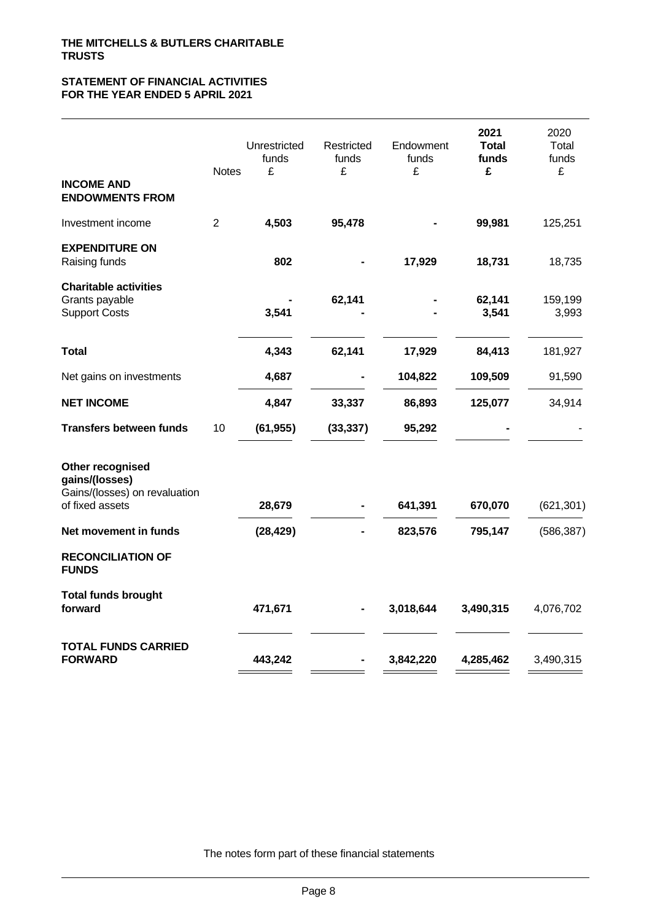### **STATEMENT OF FINANCIAL ACTIVITIES FOR THE YEAR ENDED 5 APRIL 2021**

|                                                                                        | <b>Notes</b>   | Unrestricted<br>funds<br>£ | Restricted<br>funds<br>£ | Endowment<br>funds<br>£ | 2021<br><b>Total</b><br>funds<br>£ | 2020<br>Total<br>funds<br>£ |  |
|----------------------------------------------------------------------------------------|----------------|----------------------------|--------------------------|-------------------------|------------------------------------|-----------------------------|--|
| <b>INCOME AND</b><br><b>ENDOWMENTS FROM</b>                                            |                |                            |                          |                         |                                    |                             |  |
| Investment income                                                                      | $\overline{c}$ | 4,503                      | 95,478                   |                         | 99,981                             | 125,251                     |  |
| <b>EXPENDITURE ON</b><br>Raising funds                                                 |                | 802                        |                          | 17,929                  | 18,731                             | 18,735                      |  |
| <b>Charitable activities</b><br>Grants payable<br><b>Support Costs</b>                 |                | 3,541                      | 62,141                   |                         | 62,141<br>3,541                    | 159,199<br>3,993            |  |
| <b>Total</b>                                                                           |                | 4,343                      | 62,141                   | 17,929                  | 84,413                             | 181,927                     |  |
| Net gains on investments                                                               |                | 4,687                      |                          | 104,822                 | 109,509                            | 91,590                      |  |
| <b>NET INCOME</b>                                                                      |                | 4,847                      | 33,337                   | 86,893                  | 125,077                            | 34,914                      |  |
| <b>Transfers between funds</b>                                                         | 10             | (61, 955)                  | (33, 337)                | 95,292                  |                                    |                             |  |
| Other recognised<br>gains/(losses)<br>Gains/(losses) on revaluation<br>of fixed assets |                | 28,679                     |                          | 641,391                 | 670,070                            | (621, 301)                  |  |
| Net movement in funds                                                                  |                | (28, 429)                  |                          | 823,576                 | 795,147                            | (586, 387)                  |  |
| <b>RECONCILIATION OF</b><br><b>FUNDS</b>                                               |                |                            |                          |                         |                                    |                             |  |
| <b>Total funds brought</b><br>forward                                                  |                | 471,671                    | $\blacksquare$           | 3,018,644               | 3,490,315                          | 4,076,702                   |  |
| <b>TOTAL FUNDS CARRIED</b><br><b>FORWARD</b>                                           |                | 443,242                    |                          | 3,842,220               | 4,285,462                          | 3,490,315                   |  |
|                                                                                        |                |                            |                          |                         |                                    |                             |  |

The notes form part of these financial statements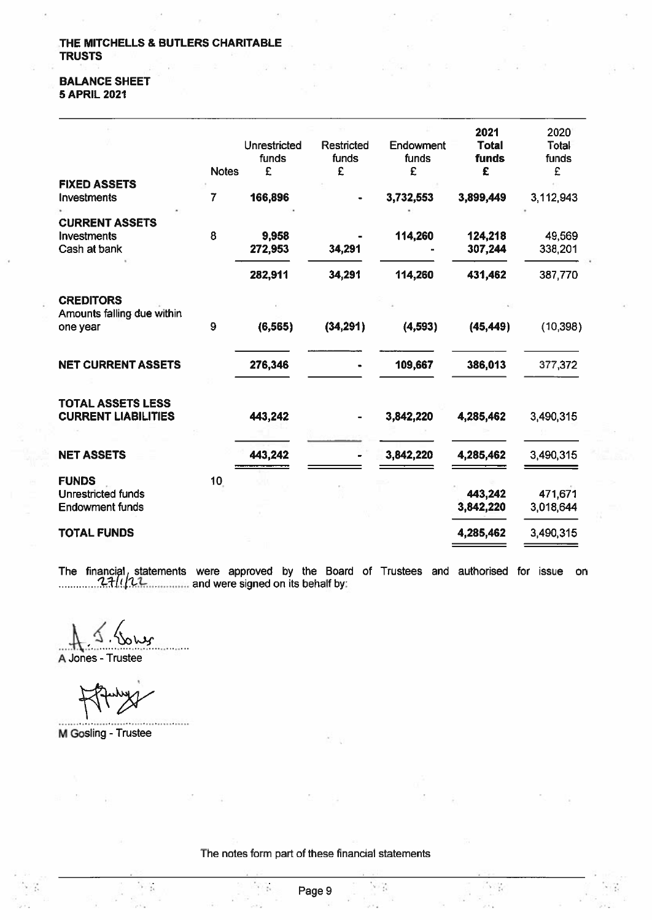#### **BALANCE SHEET 5 APRIL 2021**

|                                                |                 |                       |                     |                    | 2021                  | 2020           |
|------------------------------------------------|-----------------|-----------------------|---------------------|--------------------|-----------------------|----------------|
|                                                |                 | Unrestricted<br>funds | Restricted<br>funds | Endowment<br>funds | <b>Total</b><br>funds | Total<br>funds |
|                                                | <b>Notes</b>    | £                     | £                   | £                  | £                     | £              |
| <b>FIXED ASSETS</b>                            |                 |                       |                     |                    |                       |                |
| Investments                                    | 7               | 166,896               |                     | 3,732,553          | 3,899,449             | 3,112,943      |
| <b>CURRENT ASSETS</b>                          |                 |                       |                     |                    |                       |                |
| <b>Investments</b>                             | 8               | 9,958                 |                     | 114,260            | 124,218               | 49,569         |
| Cash at bank                                   |                 | 272,953               | 34,291              |                    | 307,244               | 338,201        |
|                                                |                 |                       |                     |                    |                       |                |
|                                                |                 | 282,911               | 34,291              | 114,260            | 431,462               | 387,770        |
| <b>CREDITORS</b><br>Amounts falling due within |                 |                       |                     |                    |                       |                |
| one year                                       | 9               | (6, 565)              | (34, 291)           | (4, 593)           | (45, 449)             | (10, 398)      |
|                                                |                 |                       |                     |                    |                       |                |
|                                                |                 |                       |                     |                    |                       |                |
| <b>NET CURRENT ASSETS</b>                      |                 | 276,346               |                     | 109,667            | 386,013               | 377,372        |
|                                                |                 |                       |                     |                    |                       |                |
| <b>TOTAL ASSETS LESS</b>                       |                 |                       |                     |                    |                       |                |
| <b>CURRENT LIABILITIES</b>                     |                 | 443,242               |                     | 3,842,220          | 4,285,462             | 3,490,315      |
|                                                |                 |                       |                     |                    |                       |                |
|                                                |                 |                       |                     |                    |                       |                |
| <b>NET ASSETS</b>                              |                 | 443,242               |                     | 3,842,220          | 4,285,462             | 3,490,315      |
| <b>FUNDS</b>                                   | 10 <sub>1</sub> |                       |                     |                    |                       |                |
| Unrestricted funds                             |                 |                       |                     |                    | 443,242               | 471,671        |
| <b>Endowment funds</b>                         |                 |                       |                     |                    | 3,842,220             | 3,018,644      |
|                                                |                 |                       |                     |                    |                       |                |
| <b>TOTAL FUNDS</b>                             |                 |                       |                     |                    | 4,285,462             | 3,490,315      |
|                                                |                 |                       |                     |                    |                       |                |

The financial, statements were approved by the Board of Trustees and authorised for issue on  $271/22$ 

A Jones - Trustee

............................. M Gosling - Trustee

 $\sim$   $\sim$ 

The notes form part of these financial statements

外装

 $\sim 2$ 

 $2.1\%$ 

 $\mathcal{L}_{\text{c}}$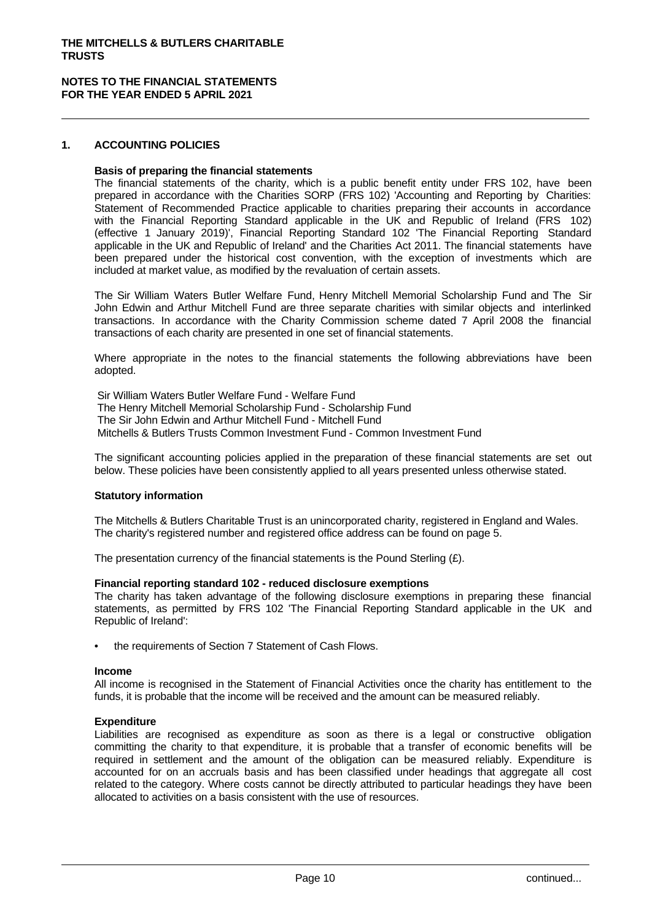#### **NOTES TO THE FINANCIAL STATEMENTS FOR THE YEAR ENDED 5 APRIL 2021**

#### **1. ACCOUNTING POLICIES**

#### **Basis of preparing the financial statements**

The financial statements of the charity, which is a public benefit entity under FRS 102, have been prepared in accordance with the Charities SORP (FRS 102) 'Accounting and Reporting by Charities: Statement of Recommended Practice applicable to charities preparing their accounts in accordance with the Financial Reporting Standard applicable in the UK and Republic of Ireland (FRS 102) (effective 1 January 2019)', Financial Reporting Standard 102 'The Financial Reporting Standard applicable in the UK and Republic of Ireland' and the Charities Act 2011. The financial statements have been prepared under the historical cost convention, with the exception of investments which are included at market value, as modified by the revaluation of certain assets.

The Sir William Waters Butler Welfare Fund, Henry Mitchell Memorial Scholarship Fund and The Sir John Edwin and Arthur Mitchell Fund are three separate charities with similar objects and interlinked transactions. In accordance with the Charity Commission scheme dated 7 April 2008 the financial transactions of each charity are presented in one set of financial statements.

Where appropriate in the notes to the financial statements the following abbreviations have been adopted.

 Sir William Waters Butler Welfare Fund - Welfare Fund The Henry Mitchell Memorial Scholarship Fund - Scholarship Fund The Sir John Edwin and Arthur Mitchell Fund - Mitchell Fund Mitchells & Butlers Trusts Common Investment Fund - Common Investment Fund

The significant accounting policies applied in the preparation of these financial statements are set out below. These policies have been consistently applied to all years presented unless otherwise stated.

#### **Statutory information**

The Mitchells & Butlers Charitable Trust is an unincorporated charity, registered in England and Wales. The charity's registered number and registered office address can be found on page 5.

The presentation currency of the financial statements is the Pound Sterling  $(E)$ .

#### **Financial reporting standard 102 - reduced disclosure exemptions**

The charity has taken advantage of the following disclosure exemptions in preparing these financial statements, as permitted by FRS 102 'The Financial Reporting Standard applicable in the UK and Republic of Ireland:

the requirements of Section 7 Statement of Cash Flows.

#### **Income**

All income is recognised in the Statement of Financial Activities once the charity has entitlement to the funds, it is probable that the income will be received and the amount can be measured reliably.

#### **Expenditure**

Liabilities are recognised as expenditure as soon as there is a legal or constructive obligation committing the charity to that expenditure, it is probable that a transfer of economic benefits will be required in settlement and the amount of the obligation can be measured reliably. Expenditure is accounted for on an accruals basis and has been classified under headings that aggregate all cost related to the category. Where costs cannot be directly attributed to particular headings they have been allocated to activities on a basis consistent with the use of resources.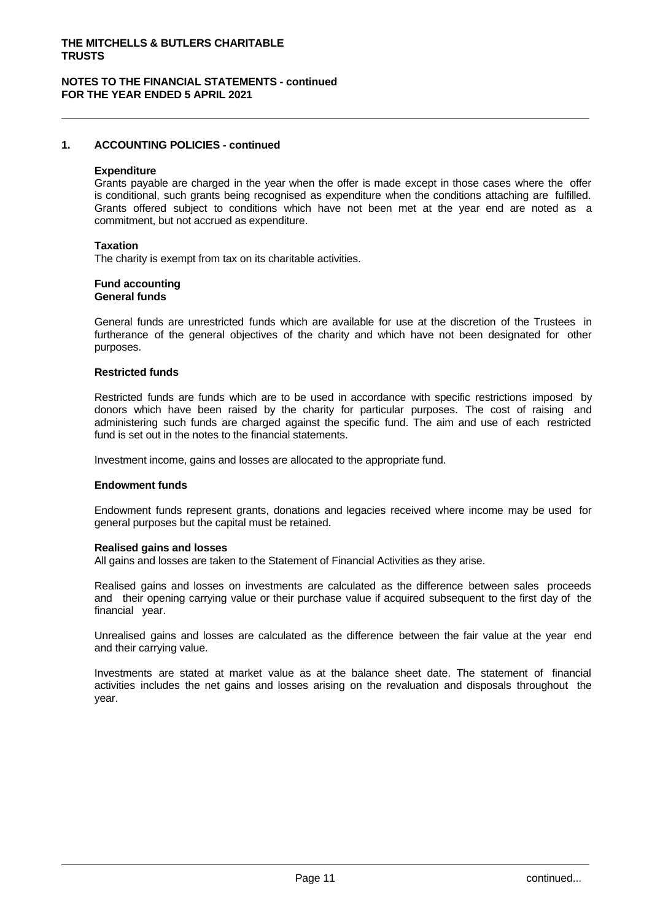#### **NOTES TO THE FINANCIAL STATEMENTS - continued FOR THE YEAR ENDED 5 APRIL 2021**

#### **1. ACCOUNTING POLICIES - continued**

#### **Expenditure**

Grants payable are charged in the year when the offer is made except in those cases where the offer is conditional, such grants being recognised as expenditure when the conditions attaching are fulfilled. Grants offered subject to conditions which have not been met at the year end are noted as a commitment, but not accrued as expenditure.

#### **Taxation**

The charity is exempt from tax on its charitable activities.

# **Fund accounting**

# **General funds**

General funds are unrestricted funds which are available for use at the discretion of the Trustees in furtherance of the general objectives of the charity and which have not been designated for other purposes.

#### **Restricted funds**

Restricted funds are funds which are to be used in accordance with specific restrictions imposed by donors which have been raised by the charity for particular purposes. The cost of raising and administering such funds are charged against the specific fund. The aim and use of each restricted fund is set out in the notes to the financial statements.

Investment income, gains and losses are allocated to the appropriate fund.

#### **Endowment funds**

Endowment funds represent grants, donations and legacies received where income may be used for general purposes but the capital must be retained.

#### **Realised gains and losses**

All gains and losses are taken to the Statement of Financial Activities as they arise.

Realised gains and losses on investments are calculated as the difference between sales proceeds and their opening carrying value or their purchase value if acquired subsequent to the first day of the financial year.

Unrealised gains and losses are calculated as the difference between the fair value at the year end and their carrying value.

Investments are stated at market value as at the balance sheet date. The statement of financial activities includes the net gains and losses arising on the revaluation and disposals throughout the year.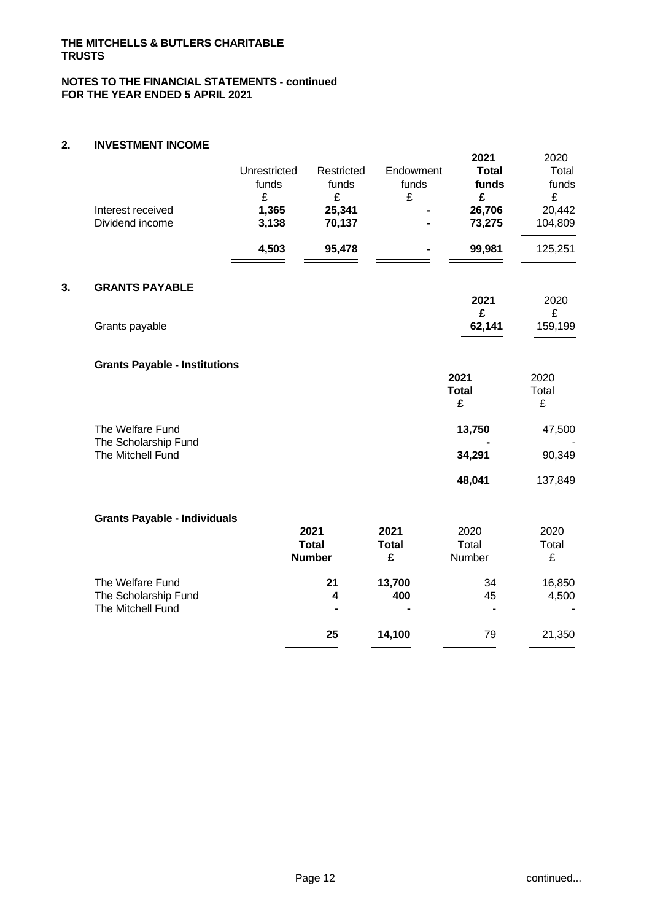# **2. INVESTMENT INCOME**

| Interest received<br>Dividend income      | Unrestricted<br>funds<br>£<br>1,365<br>3,138<br>4,503 | Restricted<br>funds<br>£<br>25,341<br>70,137<br>95,478 | Endowment<br>funds<br>£ | 2021<br><b>Total</b><br>funds<br>£<br>26,706<br>73,275<br>99,981 | 2020<br>Total<br>funds<br>£<br>20,442<br>104,809<br>125,251 |
|-------------------------------------------|-------------------------------------------------------|--------------------------------------------------------|-------------------------|------------------------------------------------------------------|-------------------------------------------------------------|
| <b>GRANTS PAYABLE</b>                     |                                                       |                                                        |                         | 2021                                                             | 2020                                                        |
| Grants payable                            |                                                       |                                                        |                         | £<br>62,141                                                      | £<br>159,199                                                |
| <b>Grants Payable - Institutions</b>      |                                                       |                                                        |                         | 2021                                                             | 2020                                                        |
|                                           |                                                       |                                                        |                         | <b>Total</b><br>£                                                | Total<br>£                                                  |
| The Welfare Fund<br>The Scholarship Fund  |                                                       |                                                        |                         | 13,750                                                           | 47,500                                                      |
| The Mitchell Fund                         |                                                       |                                                        |                         | 34,291                                                           | 90,349                                                      |
|                                           |                                                       |                                                        |                         | 48,041                                                           | 137,849                                                     |
| <b>Grants Payable - Individuals</b>       |                                                       |                                                        |                         |                                                                  |                                                             |
|                                           |                                                       | 2021                                                   | 2021                    | 2020                                                             | 2020                                                        |
|                                           |                                                       | <b>Total</b><br><b>Number</b>                          | <b>Total</b><br>£       | Total<br>Number                                                  | Total<br>£                                                  |
| The Welfare Fund                          |                                                       | 21                                                     | 13,700                  | 34                                                               | 16,850                                                      |
| The Scholarship Fund<br>The Mitchell Fund |                                                       | 4                                                      | 400                     | 45                                                               | 4,500                                                       |
|                                           |                                                       | 25                                                     | 14,100                  | 79                                                               | 21,350                                                      |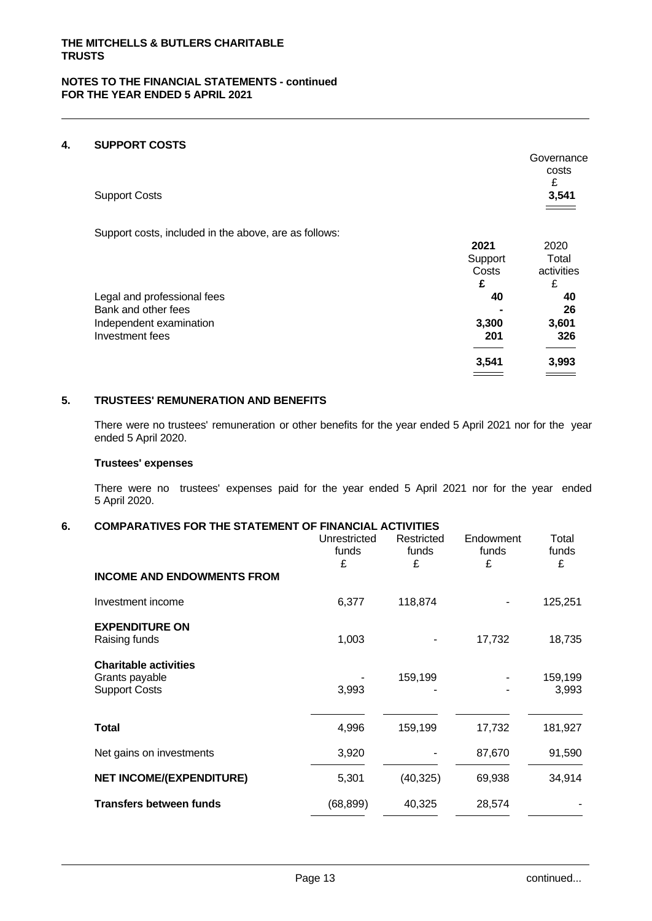# **4. SUPPORT COSTS**

|                                                       |         | Governance<br>costs<br>£ |
|-------------------------------------------------------|---------|--------------------------|
| <b>Support Costs</b>                                  |         | 3,541                    |
| Support costs, included in the above, are as follows: |         |                          |
|                                                       | 2021    | 2020                     |
|                                                       | Support | Total                    |
|                                                       | Costs   | activities               |
|                                                       | £       | £                        |
| Legal and professional fees                           | 40      | 40                       |
| Bank and other fees                                   |         | 26                       |
| Independent examination                               | 3,300   | 3,601                    |
| Investment fees                                       | 201     | 326                      |
|                                                       |         |                          |
|                                                       | 3,541   | 3,993                    |
|                                                       |         |                          |
|                                                       |         |                          |

# **5. TRUSTEES' REMUNERATION AND BENEFITS**

There were no trustees' remuneration or other benefits for the year ended 5 April 2021 nor for the year ended 5 April 2020.

#### **Trustees' expenses**

There were no trustees' expenses paid for the year ended 5 April 2021 nor for the year ended 5 April 2020.

# **6. COMPARATIVES FOR THE STATEMENT OF FINANCIAL ACTIVITIES**

| <b>INCOME AND ENDOWMENTS FROM</b><br>118,874<br>125,251<br>Investment income<br>6,377<br><b>EXPENDITURE ON</b><br>1,003<br>17,732<br>18,735<br>Raising funds<br><b>Charitable activities</b><br>159,199<br>159,199<br>Grants payable<br><b>Support Costs</b><br>3,993<br>3,993<br><b>Total</b><br>4,996<br>17,732<br>159,199<br>181,927<br>Net gains on investments<br>3,920<br>87,670<br>91,590<br><b>NET INCOME/(EXPENDITURE)</b><br>5,301<br>(40, 325)<br>69,938<br>34,914<br><b>Transfers between funds</b><br>(68, 899)<br>40,325<br>28,574 |  | Unrestricted<br>funds<br>£ | Restricted<br>funds<br>£ | Endowment<br>funds<br>£ | Total<br>funds<br>£ |
|--------------------------------------------------------------------------------------------------------------------------------------------------------------------------------------------------------------------------------------------------------------------------------------------------------------------------------------------------------------------------------------------------------------------------------------------------------------------------------------------------------------------------------------------------|--|----------------------------|--------------------------|-------------------------|---------------------|
|                                                                                                                                                                                                                                                                                                                                                                                                                                                                                                                                                  |  |                            |                          |                         |                     |
|                                                                                                                                                                                                                                                                                                                                                                                                                                                                                                                                                  |  |                            |                          |                         |                     |
|                                                                                                                                                                                                                                                                                                                                                                                                                                                                                                                                                  |  |                            |                          |                         |                     |
|                                                                                                                                                                                                                                                                                                                                                                                                                                                                                                                                                  |  |                            |                          |                         |                     |
|                                                                                                                                                                                                                                                                                                                                                                                                                                                                                                                                                  |  |                            |                          |                         |                     |
|                                                                                                                                                                                                                                                                                                                                                                                                                                                                                                                                                  |  |                            |                          |                         |                     |
|                                                                                                                                                                                                                                                                                                                                                                                                                                                                                                                                                  |  |                            |                          |                         |                     |
|                                                                                                                                                                                                                                                                                                                                                                                                                                                                                                                                                  |  |                            |                          |                         |                     |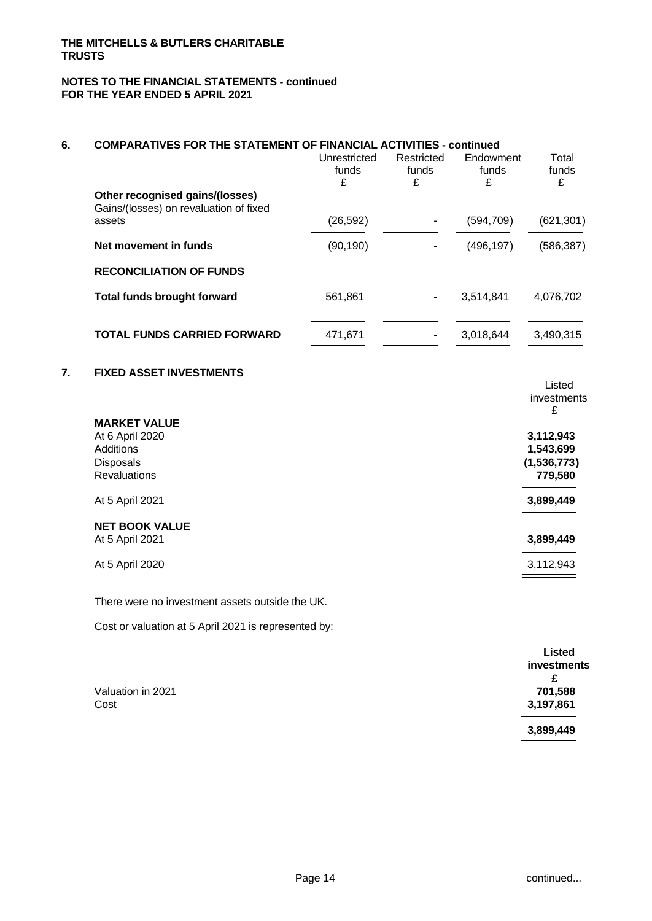#### **NOTES TO THE FINANCIAL STATEMENTS - continued FOR THE YEAR ENDED 5 APRIL 2021**

| 6.               | <b>COMPARATIVES FOR THE STATEMENT OF FINANCIAL ACTIVITIES - continued</b> | Unrestricted<br>funds<br>£ | Restricted<br>funds<br>£ | Endowment<br>funds<br>£ | Total<br>funds<br>£        |
|------------------|---------------------------------------------------------------------------|----------------------------|--------------------------|-------------------------|----------------------------|
|                  | Other recognised gains/(losses)<br>Gains/(losses) on revaluation of fixed |                            |                          |                         |                            |
|                  | assets                                                                    | (26, 592)                  | ٠                        | (594, 709)              | (621, 301)                 |
|                  | Net movement in funds                                                     | (90, 190)                  | $\overline{\phantom{a}}$ | (496, 197)              | (586, 387)                 |
|                  | <b>RECONCILIATION OF FUNDS</b>                                            |                            |                          |                         |                            |
|                  | <b>Total funds brought forward</b>                                        | 561,861                    | $\blacksquare$           | 3,514,841               | 4,076,702                  |
|                  | <b>TOTAL FUNDS CARRIED FORWARD</b>                                        | 471,671                    |                          | 3,018,644               | 3,490,315                  |
| $\overline{7}$ . | <b>FIXED ASSET INVESTMENTS</b>                                            |                            |                          |                         |                            |
|                  |                                                                           |                            |                          |                         | Listed<br>investments<br>£ |
|                  | <b>MARKET VALUE</b>                                                       |                            |                          |                         |                            |
|                  | At 6 April 2020<br><b>Additions</b>                                       |                            |                          |                         | 3,112,943<br>1,543,699     |
|                  | <b>Disposals</b>                                                          |                            |                          |                         | (1,536,773)                |
|                  | <b>Revaluations</b>                                                       |                            |                          |                         | 779,580                    |
|                  | At 5 April 2021                                                           |                            |                          |                         | 3,899,449                  |
|                  | <b>NET BOOK VALUE</b>                                                     |                            |                          |                         |                            |
|                  | At 5 April 2021                                                           |                            |                          |                         | 3,899,449                  |
|                  | At 5 April 2020                                                           |                            |                          |                         | 3,112,943                  |
|                  | There were no investment assets outside the UK.                           |                            |                          |                         |                            |
|                  | Cost or valuation at 5 April 2021 is represented by:                      |                            |                          |                         |                            |
|                  |                                                                           |                            |                          |                         | hatai I                    |

|                   | LISICU      |
|-------------------|-------------|
|                   | investments |
|                   | £           |
| Valuation in 2021 | 701,588     |
| Cost              | 3,197,861   |
|                   |             |
|                   | 3,899,449   |
|                   |             |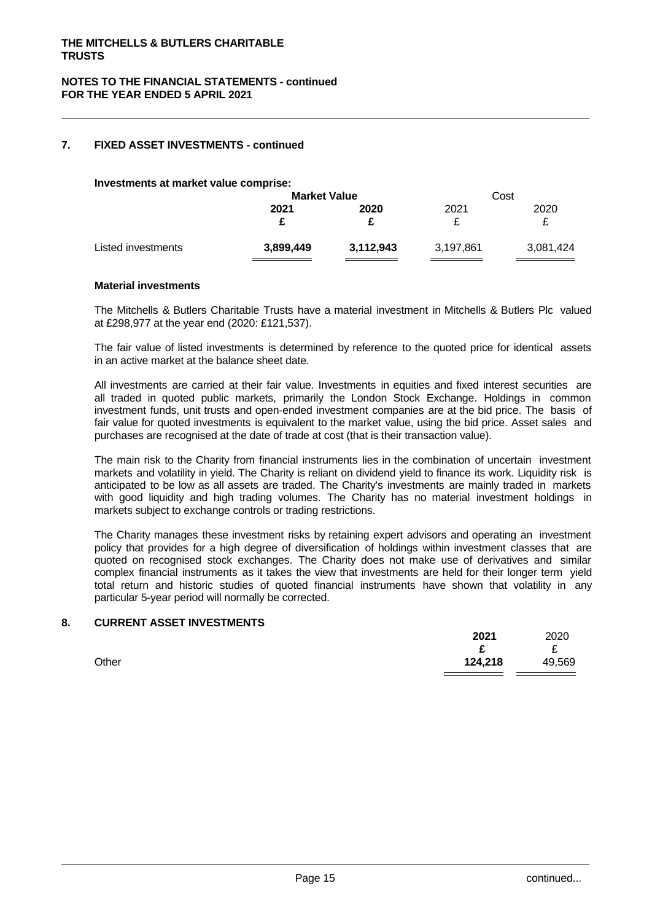# **7. FIXED ASSET INVESTMENTS - continued**

**Investments at market value comprise:**

|                    | <b>Market Value</b> |           | Cost      |           |  |
|--------------------|---------------------|-----------|-----------|-----------|--|
|                    | 2021                | 2020      | 2021      | 2020      |  |
|                    |                     |           |           |           |  |
| Listed investments | 3,899,449           | 3,112,943 | 3,197,861 | 3,081,424 |  |
|                    |                     |           |           |           |  |

#### **Material investments**

The Mitchells & Butlers Charitable Trusts have a material investment in Mitchells & Butlers Plc valued at £298,977 at the year end (2020: £121,537).

The fair value of listed investments is determined by reference to the quoted price for identical assets in an active market at the balance sheet date.

All investments are carried at their fair value. Investments in equities and fixed interest securities are all traded in quoted public markets, primarily the London Stock Exchange. Holdings in common investment funds, unit trusts and open-ended investment companies are at the bid price. The basis of fair value for quoted investments is equivalent to the market value, using the bid price. Asset sales and purchases are recognised at the date of trade at cost (that is their transaction value).

The main risk to the Charity from financial instruments lies in the combination of uncertain investment markets and volatility in yield. The Charity is reliant on dividend yield to finance its work. Liquidity risk is anticipated to be low as all assets are traded. The Charity's investments are mainly traded in markets with good liquidity and high trading volumes. The Charity has no material investment holdings in markets subject to exchange controls or trading restrictions.

The Charity manages these investment risks by retaining expert advisors and operating an investment policy that provides for a high degree of diversification of holdings within investment classes that are quoted on recognised stock exchanges. The Charity does not make use of derivatives and similar complex financial instruments as it takes the view that investments are held for their longer term yield total return and historic studies of quoted financial instruments have shown that volatility in any particular 5-year period will normally be corrected.

#### **8. CURRENT ASSET INVESTMENTS**

|       | 2021    | 2020   |
|-------|---------|--------|
|       | ∼       | ⌒<br>~ |
| Other | 124,218 | 49,569 |
|       |         |        |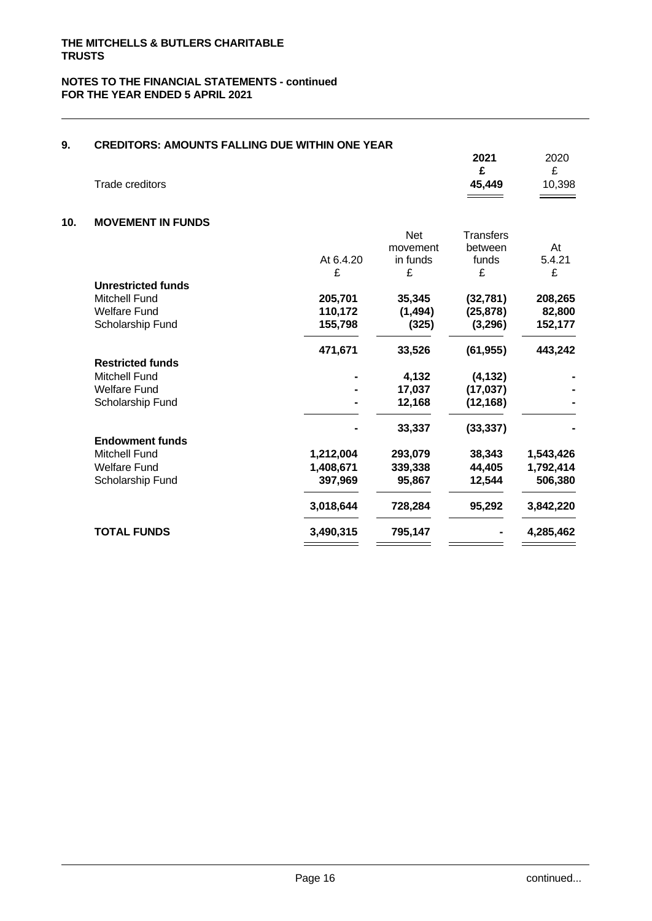| 9.  | <b>CREDITORS: AMOUNTS FALLING DUE WITHIN ONE YEAR</b> |           |            |                  |           |
|-----|-------------------------------------------------------|-----------|------------|------------------|-----------|
|     |                                                       |           |            | 2021             | 2020      |
|     |                                                       |           |            | £                | £         |
|     | Trade creditors                                       |           |            | 45,449           | 10,398    |
|     |                                                       |           |            |                  |           |
| 10. | <b>MOVEMENT IN FUNDS</b>                              |           |            |                  |           |
|     |                                                       |           | <b>Net</b> | <b>Transfers</b> |           |
|     |                                                       |           | movement   | between          | At        |
|     |                                                       | At 6.4.20 | in funds   | funds            | 5.4.21    |
|     |                                                       | £         | £          | £                | £         |
|     | <b>Unrestricted funds</b>                             |           |            |                  |           |
|     | <b>Mitchell Fund</b>                                  | 205,701   | 35,345     | (32, 781)        | 208,265   |
|     | <b>Welfare Fund</b>                                   | 110,172   | (1, 494)   | (25, 878)        | 82,800    |
|     | Scholarship Fund                                      | 155,798   | (325)      | (3,296)          | 152,177   |
|     |                                                       | 471,671   | 33,526     | (61, 955)        | 443,242   |
|     | <b>Restricted funds</b>                               |           |            |                  |           |
|     | <b>Mitchell Fund</b>                                  |           | 4,132      | (4, 132)         |           |
|     | <b>Welfare Fund</b>                                   |           | 17,037     | (17, 037)        |           |
|     | Scholarship Fund                                      |           | 12,168     | (12, 168)        |           |
|     |                                                       |           | 33,337     | (33, 337)        |           |
|     | <b>Endowment funds</b>                                |           |            |                  |           |
|     | <b>Mitchell Fund</b>                                  | 1,212,004 | 293,079    | 38,343           | 1,543,426 |
|     | <b>Welfare Fund</b>                                   | 1,408,671 | 339,338    | 44,405           | 1,792,414 |
|     | Scholarship Fund                                      | 397,969   | 95,867     | 12,544           | 506,380   |
|     |                                                       | 3,018,644 | 728,284    | 95,292           | 3,842,220 |
|     | <b>TOTAL FUNDS</b>                                    | 3,490,315 | 795,147    |                  | 4,285,462 |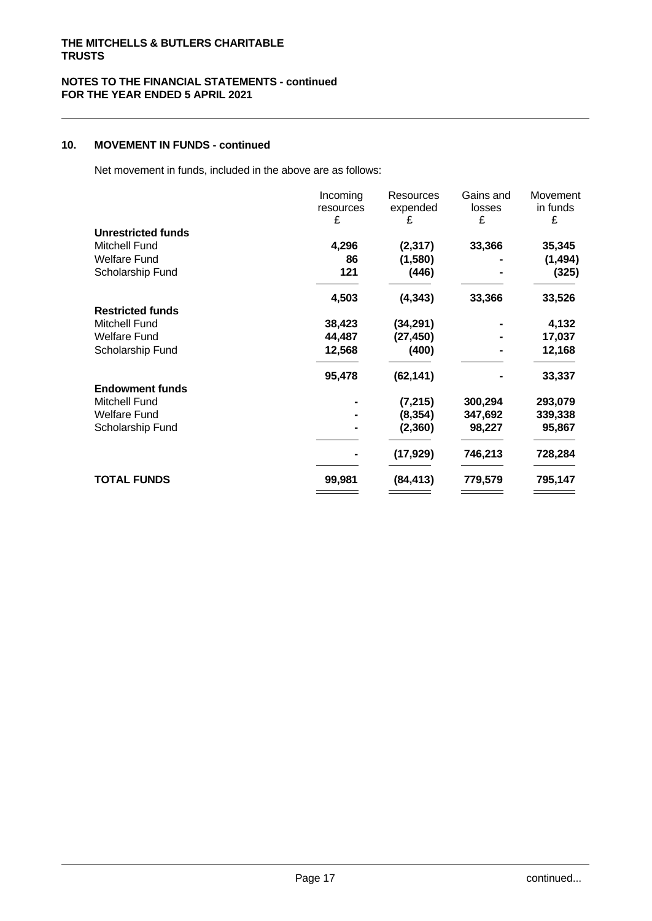# **10. MOVEMENT IN FUNDS - continued**

Net movement in funds, included in the above are as follows:

|                           | Incoming  | Resources | Gains and | Movement |  |
|---------------------------|-----------|-----------|-----------|----------|--|
|                           | resources | expended  | losses    | in funds |  |
|                           | £         | £         | £         | £        |  |
| <b>Unrestricted funds</b> |           |           |           |          |  |
| Mitchell Fund             | 4,296     | (2, 317)  | 33,366    | 35,345   |  |
| <b>Welfare Fund</b>       | 86        | (1,580)   |           | (1, 494) |  |
| Scholarship Fund          | 121       | (446)     |           | (325)    |  |
|                           | 4,503     | (4, 343)  | 33,366    | 33,526   |  |
| <b>Restricted funds</b>   |           |           |           |          |  |
| Mitchell Fund             | 38,423    | (34, 291) |           | 4,132    |  |
| <b>Welfare Fund</b>       | 44,487    | (27, 450) |           | 17,037   |  |
| Scholarship Fund          | 12,568    | (400)     |           | 12,168   |  |
|                           | 95,478    | (62, 141) |           | 33,337   |  |
| <b>Endowment funds</b>    |           |           |           |          |  |
| Mitchell Fund             |           | (7, 215)  | 300,294   | 293,079  |  |
| <b>Welfare Fund</b>       |           | (8, 354)  | 347,692   | 339,338  |  |
| Scholarship Fund          |           | (2,360)   | 98,227    | 95,867   |  |
|                           |           | (17, 929) | 746,213   | 728,284  |  |
| <b>TOTAL FUNDS</b>        | 99,981    | (84, 413) | 779,579   | 795,147  |  |
|                           |           |           |           |          |  |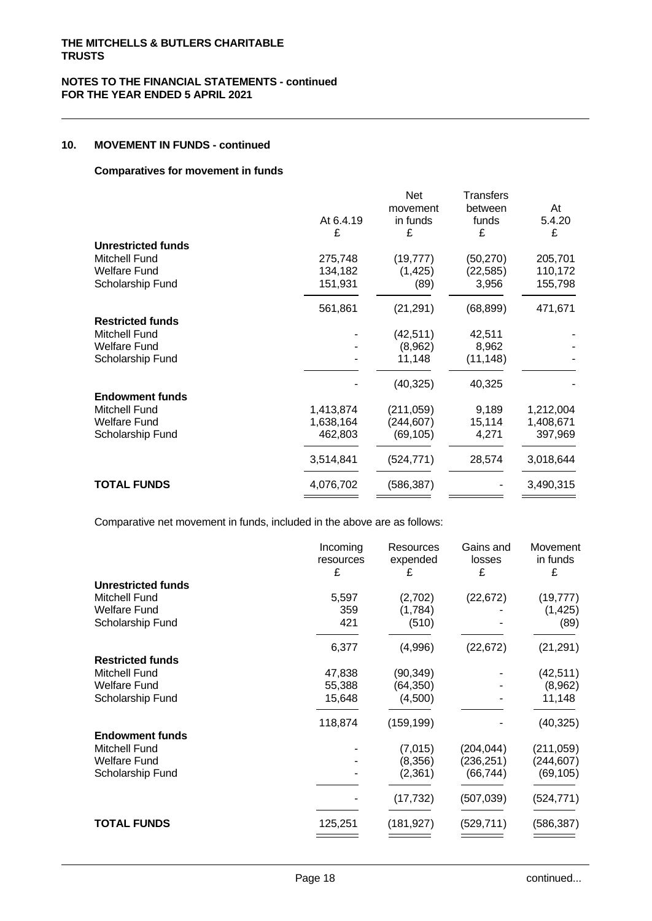# **10. MOVEMENT IN FUNDS - continued**

#### **Comparatives for movement in funds**

|                           |           | Net        | <b>Transfers</b> |           |  |
|---------------------------|-----------|------------|------------------|-----------|--|
|                           |           | movement   | between          | At        |  |
|                           | At 6.4.19 | in funds   | funds            | 5.4.20    |  |
|                           | £         | £          | £                | £         |  |
| <b>Unrestricted funds</b> |           |            |                  |           |  |
| <b>Mitchell Fund</b>      | 275,748   | (19, 777)  | (50, 270)        | 205,701   |  |
| <b>Welfare Fund</b>       | 134,182   | (1, 425)   | (22, 585)        | 110,172   |  |
| Scholarship Fund          | 151,931   | (89)       | 3,956            | 155,798   |  |
|                           | 561,861   | (21, 291)  | (68, 899)        | 471,671   |  |
| <b>Restricted funds</b>   |           |            |                  |           |  |
| <b>Mitchell Fund</b>      |           | (42, 511)  | 42,511           |           |  |
| <b>Welfare Fund</b>       |           | (8,962)    | 8,962            |           |  |
| Scholarship Fund          |           | 11,148     | (11, 148)        |           |  |
|                           |           | (40, 325)  | 40,325           |           |  |
| <b>Endowment funds</b>    |           |            |                  |           |  |
| Mitchell Fund             | 1,413,874 | (211,059)  | 9,189            | 1,212,004 |  |
| <b>Welfare Fund</b>       | 1,638,164 | (244, 607) | 15,114           | 1,408,671 |  |
| Scholarship Fund          | 462,803   | (69, 105)  | 4,271            | 397,969   |  |
|                           |           |            |                  |           |  |
|                           | 3,514,841 | (524, 771) | 28,574           | 3,018,644 |  |
| <b>TOTAL FUNDS</b>        | 4,076,702 | (586, 387) |                  | 3,490,315 |  |
|                           |           |            |                  |           |  |

Comparative net movement in funds, included in the above are as follows:

|                           | Incoming       | Resources  | Gains and   | Movement<br>in funds |  |
|---------------------------|----------------|------------|-------------|----------------------|--|
|                           | resources<br>£ | expended   | losses<br>£ |                      |  |
|                           |                | £          |             | £                    |  |
| <b>Unrestricted funds</b> |                |            |             |                      |  |
| Mitchell Fund             | 5,597          | (2,702)    | (22, 672)   | (19, 777)            |  |
| Welfare Fund              | 359            | (1,784)    |             | (1, 425)             |  |
| Scholarship Fund          | 421            | (510)      |             | (89)                 |  |
|                           |                |            |             |                      |  |
|                           | 6,377          | (4,996)    | (22, 672)   | (21, 291)            |  |
| <b>Restricted funds</b>   |                |            |             |                      |  |
| Mitchell Fund             | 47,838         | (90, 349)  |             | (42, 511)            |  |
| <b>Welfare Fund</b>       | 55,388         | (64, 350)  |             | (8,962)              |  |
| Scholarship Fund          | 15,648         | (4,500)    |             | 11,148               |  |
|                           |                |            |             |                      |  |
|                           | 118,874        | (159, 199) |             | (40, 325)            |  |
| <b>Endowment funds</b>    |                |            |             |                      |  |
| Mitchell Fund             |                | (7,015)    | (204, 044)  | (211,059)            |  |
| <b>Welfare Fund</b>       |                | (8,356)    | (236, 251)  | (244, 607)           |  |
| Scholarship Fund          |                | (2,361)    | (66, 744)   | (69, 105)            |  |
|                           |                |            |             |                      |  |
|                           |                | (17, 732)  | (507,039)   | (524, 771)           |  |
|                           |                |            |             |                      |  |
| <b>TOTAL FUNDS</b>        | 125,251        | (181, 927) | (529, 711)  | (586, 387)           |  |
|                           |                |            |             |                      |  |